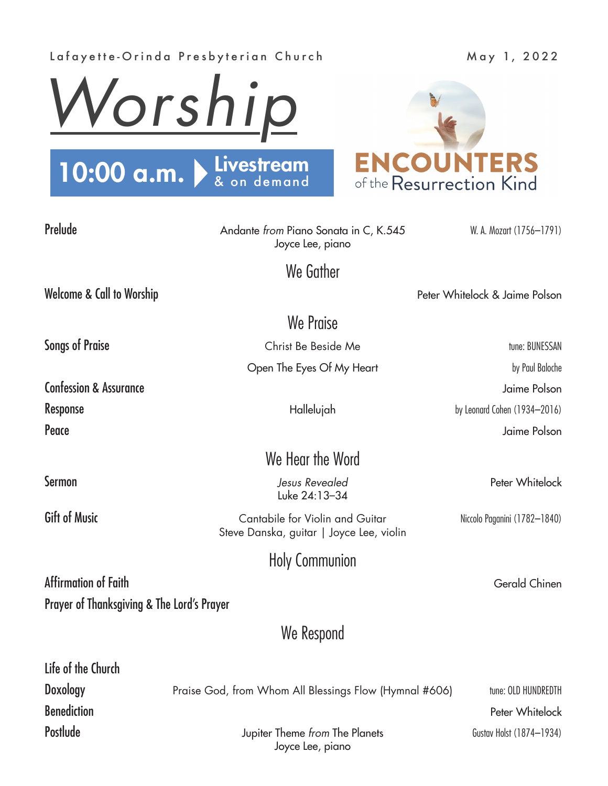## Lafayette-Orinda Presbyterian Church May 1, 2022





| Prelude                                    | Andante from Piano Sonata in C, K.545<br>Joyce Lee, piano                   | W. A. Mozart (1756-1791)       |
|--------------------------------------------|-----------------------------------------------------------------------------|--------------------------------|
|                                            | We Gather                                                                   |                                |
| Welcome & Call to Worship                  |                                                                             | Peter Whitelock & Jaime Polson |
|                                            | We Praise                                                                   |                                |
| <b>Songs of Praise</b>                     | Christ Be Beside Me                                                         | tune: BUNESSAN                 |
|                                            | Open The Eyes Of My Heart                                                   | by Paul Baloche                |
| <b>Confession &amp; Assurance</b>          |                                                                             | Jaime Polson                   |
| Response                                   | Hallelujah                                                                  | by Leonard Cohen (1934-2016)   |
| Peace                                      |                                                                             | Jaime Polson                   |
|                                            | We Hear the Word                                                            |                                |
| Sermon                                     | Jesus Revealed<br>Luke 24:13-34                                             | Peter Whitelock                |
| <b>Gift of Music</b>                       | Cantabile for Violin and Guitar<br>Steve Danska, guitar   Joyce Lee, violin | Niccolo Paganini (1782-1840)   |
|                                            | <b>Holy Communion</b>                                                       |                                |
| Affirmation of Faith                       |                                                                             | Gerald Chinen                  |
| Prayer of Thanksgiving & The Lord's Prayer |                                                                             |                                |
|                                            | We Respond                                                                  |                                |
| Life of the Church                         |                                                                             |                                |
| Doxology                                   | Praise God, from Whom All Blessings Flow (Hymnal #606)                      | tune: OLD HUNDREDTH            |
| <b>Benediction</b>                         |                                                                             | Peter Whitelock                |

Postlude **Postlude** Jupiter Theme *from* The Planets **Gustav Holst (1874–1934)** Joyce Lee, piano